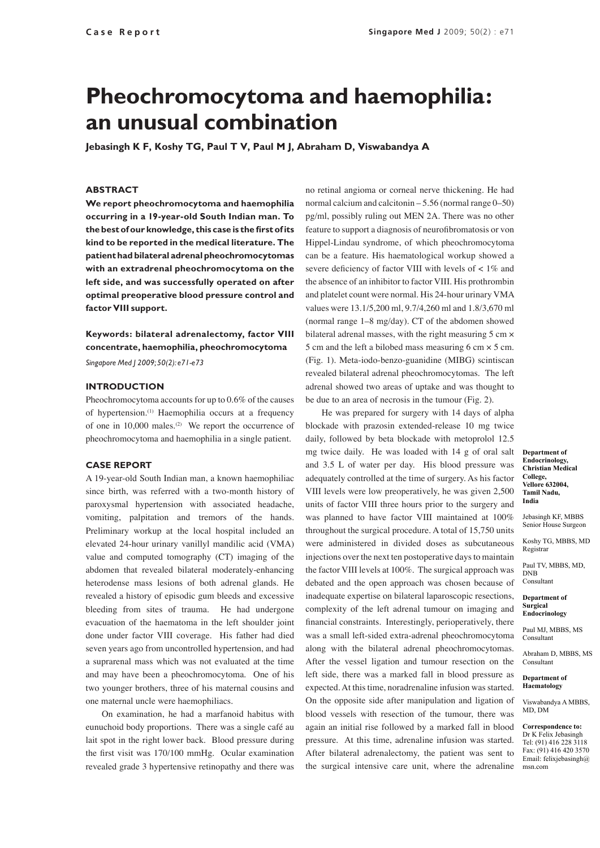# **Pheochromocytoma and haemophilia: an unusual combination**

**Jebasingh K F, Koshy TG, Paul T V, Paul M J, Abraham D, Viswabandya A**

#### **ABSTRACT**

**We report pheochromocytoma and haemophilia occurring in a 19-year-old South Indian man. To the best of our knowledge, this case is the first of its kind to be reported in the medical literature. The patient had bilateral adrenal pheochromocytomas with an extradrenal pheochromocytoma on the left side, and was successfully operated on after optimal preoperative blood pressure control and factor VIII support.**

## **Keywords: bilateral adrenalectomy, factor VIII concentrate, haemophilia, pheochromocytoma**

*Singapore Med J 2009; 50(2): e71-e73*

### **INTRODUCTION**

Pheochromocytoma accounts for up to 0.6% of the causes of hypertension.(1) Haemophilia occurs at a frequency of one in  $10,000$  males.<sup>(2)</sup> We report the occurrence of pheochromocytoma and haemophilia in a single patient.

#### **CASE REPORT**

A 19-year-old South Indian man, a known haemophiliac since birth, was referred with a two-month history of paroxysmal hypertension with associated headache, vomiting, palpitation and tremors of the hands. Preliminary workup at the local hospital included an elevated 24-hour urinary vanillyl mandilic acid (VMA) value and computed tomography (CT) imaging of the abdomen that revealed bilateral moderately-enhancing heterodense mass lesions of both adrenal glands. He revealed a history of episodic gum bleeds and excessive bleeding from sites of trauma. He had undergone evacuation of the haematoma in the left shoulder joint done under factor VIII coverage. His father had died seven years ago from uncontrolled hypertension, and had a suprarenal mass which was not evaluated at the time and may have been a pheochromocytoma. One of his two younger brothers, three of his maternal cousins and one maternal uncle were haemophiliacs.

On examination, he had a marfanoid habitus with eunuchoid body proportions. There was a single café au lait spot in the right lower back. Blood pressure during the first visit was 170/100 mmHg. Ocular examination revealed grade 3 hypertensive retinopathy and there was

no retinal angioma or corneal nerve thickening. He had normal calcium and calcitonin  $-5.56$  (normal range  $0-50$ ) pg/ml, possibly ruling out MEN 2A. There was no other feature to support a diagnosis of neurofibromatosis or von Hippel-Lindau syndrome, of which pheochromocytoma can be a feature. His haematological workup showed a severe deficiency of factor VIII with levels of  $< 1\%$  and the absence of an inhibitor to factor VIII. His prothrombin and platelet count were normal. His 24-hour urinary VMA values were 13.1/5,200 ml, 9.7/4,260 ml and 1.8/3,670 ml (normal range 1–8 mg/day). CT of the abdomen showed bilateral adrenal masses, with the right measuring 5 cm  $\times$ 5 cm and the left a bilobed mass measuring 6 cm × 5 cm. (Fig. 1). Meta-iodo-benzo-guanidine (MIBG) scintiscan revealed bilateral adrenal pheochromocytomas. The left adrenal showed two areas of uptake and was thought to be due to an area of necrosis in the tumour (Fig. 2).

He was prepared for surgery with 14 days of alpha blockade with prazosin extended-release 10 mg twice daily, followed by beta blockade with metoprolol 12.5 mg twice daily. He was loaded with 14 g of oral salt and 3.5 L of water per day. His blood pressure was adequately controlled at the time of surgery. As his factor VIII levels were low preoperatively, he was given 2,500 units of factor VIII three hours prior to the surgery and was planned to have factor VIII maintained at 100% throughout the surgical procedure. A total of 15,750 units were administered in divided doses as subcutaneous injections over the next ten postoperative days to maintain the factor VIII levels at 100%. The surgical approach was debated and the open approach was chosen because of inadequate expertise on bilateral laparoscopic resections, complexity of the left adrenal tumour on imaging and financial constraints. Interestingly, perioperatively, there was a small left-sided extra-adrenal pheochromocytoma along with the bilateral adrenal pheochromocytomas. After the vessel ligation and tumour resection on the left side, there was a marked fall in blood pressure as expected. At this time, noradrenaline infusion was started. On the opposite side after manipulation and ligation of blood vessels with resection of the tumour, there was again an initial rise followed by a marked fall in blood pressure. At this time, adrenaline infusion was started. After bilateral adrenalectomy, the patient was sent to the surgical intensive care unit, where the adrenaline

**Department of Endocrinology, Christian Medical College, Vellore 632004, Tamil Nadu, India**

Jebasingh KF, MBBS Senior House Surgeon

Koshy TG, MBBS, MD Registrar

Paul TV, MBBS, MD, DNB Consultant

#### **Department of Surgical Endocrinology**

Paul MJ, MBBS, MS Consultant

Abraham D, MBBS, MS Consultant

**Department of Haematology**

Viswabandya A MBBS, MD, DM

**Correspondence to:** Dr K Felix Jebasingh Tel: (91) 416 228 3118 Fax: (91) 416 420 3570 Email: felixjebasingh@ msn.com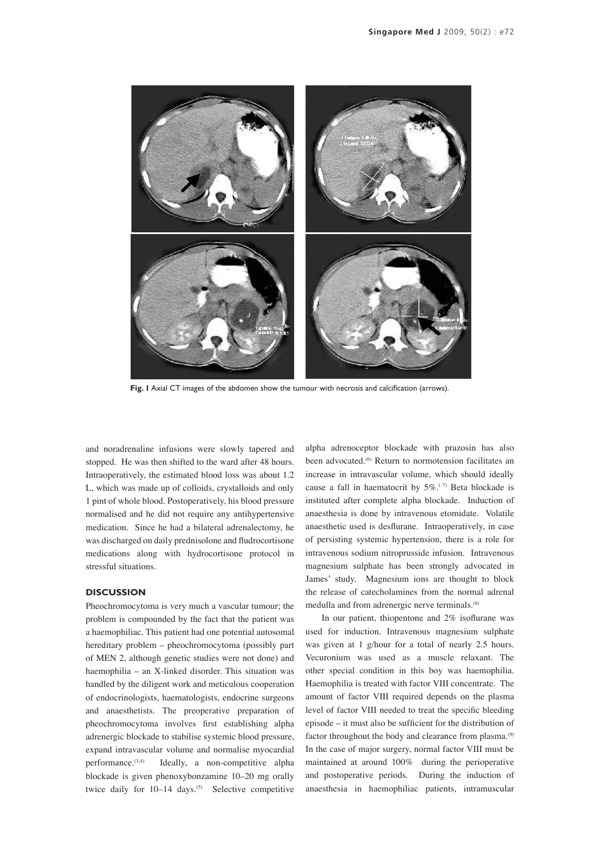

**Fig. 1** Axial CT images of the abdomen show the tumour with necrosis and calcification (arrows).

and noradrenaline infusions were slowly tapered and stopped. He was then shifted to the ward after 48 hours. Intraoperatively, the estimated blood loss was about 1.2 L, which was made up of colloids, crystalloids and only 1 pint of whole blood. Postoperatively, his blood pressure normalised and he did not require any antihypertensive medication. Since he had a bilateral adrenalectomy, he was discharged on daily prednisolone and fludrocortisone medications along with hydrocortisone protocol in stressful situations.

### **DISCUSSION**

Pheochromocytoma is very much a vascular tumour; the problem is compounded by the fact that the patient was a haemophiliac. This patient had one potential autosomal hereditary problem – pheochromocytoma (possibly part of MEN 2, although genetic studies were not done) and haemophilia – an X-linked disorder. This situation was handled by the diligent work and meticulous cooperation of endocrinologists, haematologists, endocrine surgeons and anaesthetists. The preoperative preparation of pheochromocytoma involves first establishing alpha adrenergic blockade to stabilise systemic blood pressure, expand intravascular volume and normalise myocardial performance.(3,4) Ideally, a non-competitive alpha blockade is given phenoxybonzamine 10–20 mg orally twice daily for  $10-14$  days.<sup>(5)</sup> Selective competitive

alpha adrenoceptor blockade with prazosin has also been advocated.<sup>(6)</sup> Return to normotension facilitates an increase in intravascular volume, which should ideally cause a fall in haematocrit by  $5\%$ .<sup>(7)</sup> Beta blockade is instituted after complete alpha blockade. Induction of anaesthesia is done by intravenous etomidate. Volatile anaesthetic used is desflurane. Intraoperatively, in case of persisting systemic hypertension, there is a role for intravenous sodium nitroprusside infusion. Intravenous magnesium sulphate has been strongly advocated in James' study. Magnesium ions are thought to block the release of catecholamines from the normal adrenal medulla and from adrenergic nerve terminals.(8)

In our patient, thiopentone and 2% isoflurane was used for induction. Intravenous magnesium sulphate was given at 1 g/hour for a total of nearly 2.5 hours. Vecuronium was used as a muscle relaxant. The other special condition in this boy was haemophilia. Haemophilia is treated with factor VIII concentrate. The amount of factor VIII required depends on the plasma level of factor VIII needed to treat the specific bleeding episode – it must also be sufficient for the distribution of factor throughout the body and clearance from plasma.<sup>(9)</sup> In the case of major surgery, normal factor VIII must be maintained at around 100% during the perioperative and postoperative periods. During the induction of anaesthesia in haemophiliac patients, intramuscular